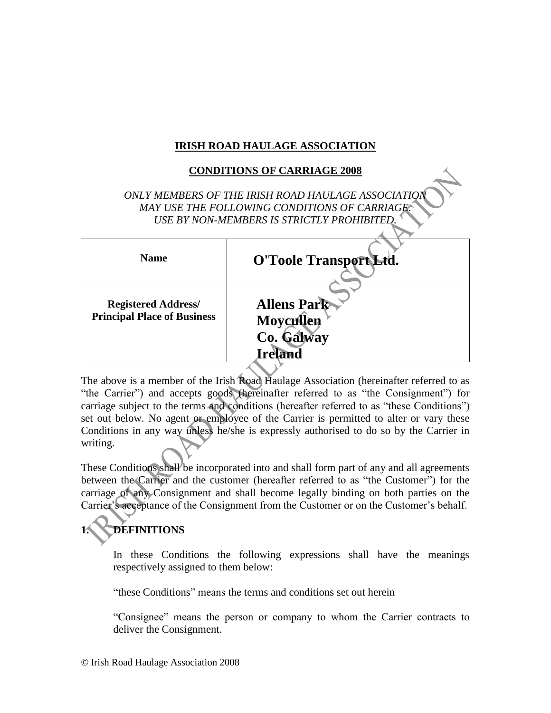## **IRISH ROAD HAULAGE ASSOCIATION**

## **CONDITIONS OF CARRIAGE 2008**

**ONLY MEMBERS OF THE IRISH ROAD HAULAGE ASSOCIATIO** *MAY USE THE FOLLOWING CONDITIONS OF CARRIAGE. USE BY NON-MEMBERS IS STRICTLY PROHIBITED.*

| <b>Name</b>                                                      | O'Toole Transport Ltd.                                          |
|------------------------------------------------------------------|-----------------------------------------------------------------|
| <b>Registered Address/</b><br><b>Principal Place of Business</b> | <b>Allens Park</b><br>Moycullen<br>Co. Galway<br><b>Ireland</b> |
|                                                                  |                                                                 |

The above is a member of the Irish Road Haulage Association (hereinafter referred to as "the Carrier") and accepts goods (hereinafter referred to as "the Consignment") for carriage subject to the terms and conditions (hereafter referred to as "these Conditions") set out below. No agent or employee of the Carrier is permitted to alter or vary these Conditions in any way unless he/she is expressly authorised to do so by the Carrier in writing.

These Conditions shall be incorporated into and shall form part of any and all agreements between the Carrier and the customer (hereafter referred to as "the Customer") for the carriage of any Consignment and shall become legally binding on both parties on the Carrier's acceptance of the Consignment from the Customer or on the Customer's behalf.

# **1. DEFINITIONS**

In these Conditions the following expressions shall have the meanings respectively assigned to them below:

"these Conditions" means the terms and conditions set out herein

"Consignee" means the person or company to whom the Carrier contracts to deliver the Consignment.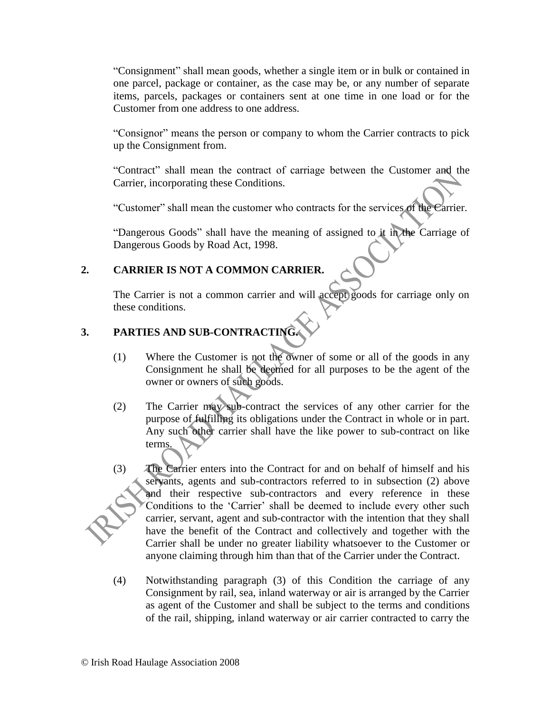"Consignment" shall mean goods, whether a single item or in bulk or contained in one parcel, package or container, as the case may be, or any number of separate items, parcels, packages or containers sent at one time in one load or for the Customer from one address to one address.

"Consignor" means the person or company to whom the Carrier contracts to pick up the Consignment from.

"Contract" shall mean the contract of carriage between the Customer and the Carrier, incorporating these Conditions.

"Customer" shall mean the customer who contracts for the services of the Carrier.

"Dangerous Goods" shall have the meaning of assigned to it in the Carriage of Dangerous Goods by Road Act, 1998.

## **2. CARRIER IS NOT A COMMON CARRIER.**

The Carrier is not a common carrier and will accept goods for carriage only on these conditions.

## **3. PARTIES AND SUB-CONTRACTING.**

- (1) Where the Customer is not the owner of some or all of the goods in any Consignment he shall be deemed for all purposes to be the agent of the owner or owners of such goods.
- (2) The Carrier may sub-contract the services of any other carrier for the purpose of fulfilling its obligations under the Contract in whole or in part. Any such other carrier shall have the like power to sub-contract on like terms.
- (3) The Carrier enters into the Contract for and on behalf of himself and his servants, agents and sub-contractors referred to in subsection (2) above and their respective sub-contractors and every reference in these Conditions to the 'Carrier' shall be deemed to include every other such carrier, servant, agent and sub-contractor with the intention that they shall have the benefit of the Contract and collectively and together with the Carrier shall be under no greater liability whatsoever to the Customer or anyone claiming through him than that of the Carrier under the Contract.
- (4) Notwithstanding paragraph (3) of this Condition the carriage of any Consignment by rail, sea, inland waterway or air is arranged by the Carrier as agent of the Customer and shall be subject to the terms and conditions of the rail, shipping, inland waterway or air carrier contracted to carry the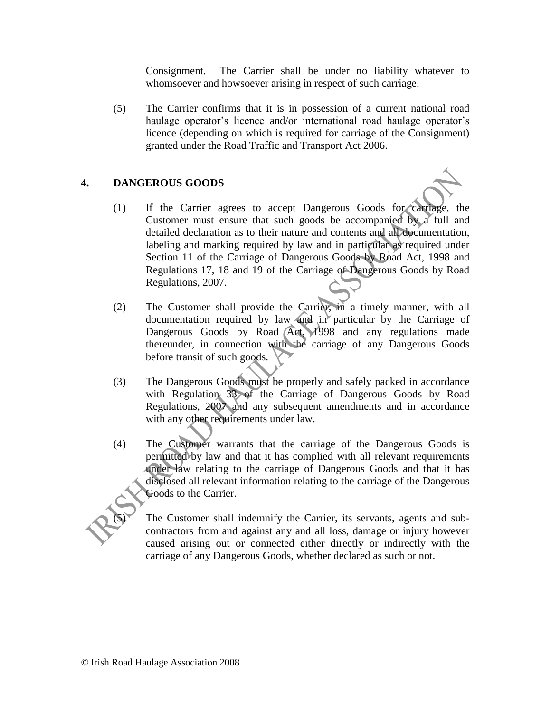Consignment. The Carrier shall be under no liability whatever to whomsoever and howsoever arising in respect of such carriage.

(5) The Carrier confirms that it is in possession of a current national road haulage operator's licence and/or international road haulage operator's licence (depending on which is required for carriage of the Consignment) granted under the Road Traffic and Transport Act 2006.

### **4. DANGEROUS GOODS**

- (1) If the Carrier agrees to accept Dangerous Goods for carriage, the Customer must ensure that such goods be accompanied by a full and detailed declaration as to their nature and contents and all documentation, labeling and marking required by law and in particular as required under Section 11 of the Carriage of Dangerous Goods by Road Act, 1998 and Regulations 17, 18 and 19 of the Carriage of Dangerous Goods by Road Regulations, 2007.
- (2) The Customer shall provide the Carrier, in a timely manner, with all documentation required by law and in particular by the Carriage of Dangerous Goods by Road Act, 1998 and any regulations made thereunder, in connection with the carriage of any Dangerous Goods before transit of such goods.
- (3) The Dangerous Goods must be properly and safely packed in accordance with Regulation 33 of the Carriage of Dangerous Goods by Road Regulations, 2007 and any subsequent amendments and in accordance with any other requirements under law.
- (4) The Customer warrants that the carriage of the Dangerous Goods is permitted by law and that it has complied with all relevant requirements under law relating to the carriage of Dangerous Goods and that it has disclosed all relevant information relating to the carriage of the Dangerous Goods to the Carrier.

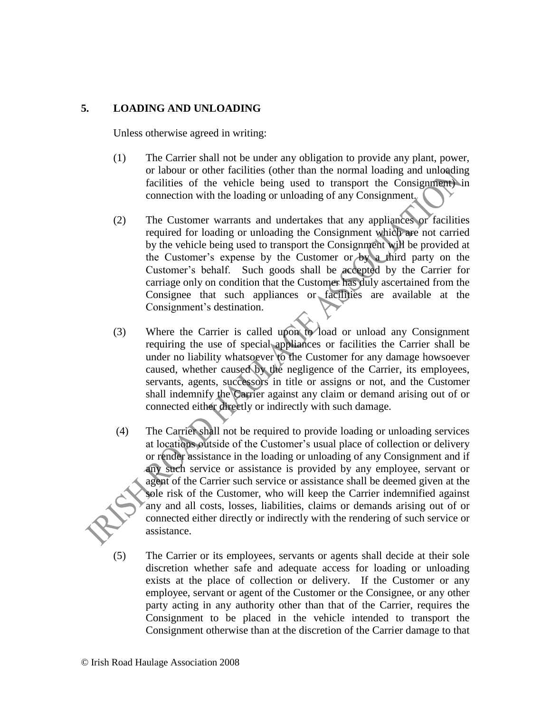#### **5. LOADING AND UNLOADING**

Unless otherwise agreed in writing:

- (1) The Carrier shall not be under any obligation to provide any plant, power, or labour or other facilities (other than the normal loading and unloading facilities of the vehicle being used to transport the Consignment) in connection with the loading or unloading of any Consignment.
- (2) The Customer warrants and undertakes that any appliances or facilities required for loading or unloading the Consignment which are not carried by the vehicle being used to transport the Consignment will be provided at the Customer's expense by the Customer or by a third party on the Customer's behalf. Such goods shall be accepted by the Carrier for carriage only on condition that the Customer has duly ascertained from the Consignee that such appliances or facilities are available at the Consignment's destination.
- (3) Where the Carrier is called upon to load or unload any Consignment requiring the use of special appliances or facilities the Carrier shall be under no liability whatsoever to the Customer for any damage howsoever caused, whether caused by the negligence of the Carrier, its employees, servants, agents, successors in title or assigns or not, and the Customer shall indemnify the Carrier against any claim or demand arising out of or connected either directly or indirectly with such damage.
- (4) The Carrier shall not be required to provide loading or unloading services at locations outside of the Customer's usual place of collection or delivery or render assistance in the loading or unloading of any Consignment and if any such service or assistance is provided by any employee, servant or agent of the Carrier such service or assistance shall be deemed given at the sole risk of the Customer, who will keep the Carrier indemnified against any and all costs, losses, liabilities, claims or demands arising out of or connected either directly or indirectly with the rendering of such service or assistance.
- (5) The Carrier or its employees, servants or agents shall decide at their sole discretion whether safe and adequate access for loading or unloading exists at the place of collection or delivery. If the Customer or any employee, servant or agent of the Customer or the Consignee, or any other party acting in any authority other than that of the Carrier, requires the Consignment to be placed in the vehicle intended to transport the Consignment otherwise than at the discretion of the Carrier damage to that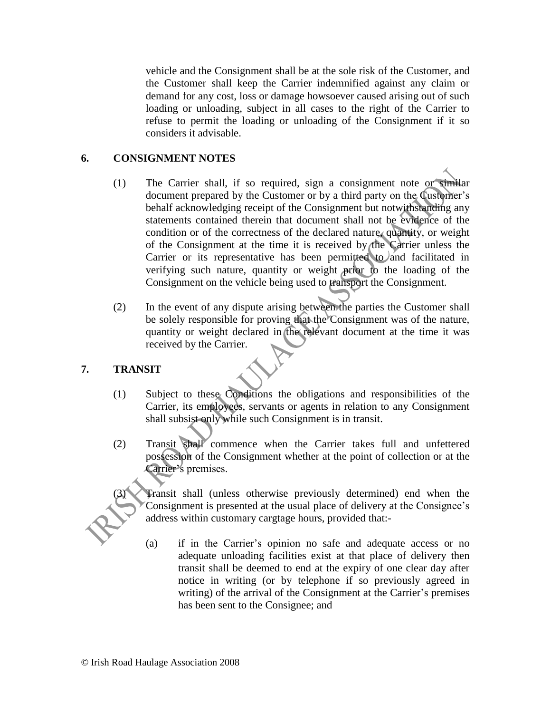vehicle and the Consignment shall be at the sole risk of the Customer, and the Customer shall keep the Carrier indemnified against any claim or demand for any cost, loss or damage howsoever caused arising out of such loading or unloading, subject in all cases to the right of the Carrier to refuse to permit the loading or unloading of the Consignment if it so considers it advisable.

### **6. CONSIGNMENT NOTES**

- (1) The Carrier shall, if so required, sign a consignment note or similar document prepared by the Customer or by a third party on the Customer's behalf acknowledging receipt of the Consignment but notwithstanding any statements contained therein that document shall not be evidence of the condition or of the correctness of the declared nature, quantity, or weight of the Consignment at the time it is received by the Carrier unless the Carrier or its representative has been permitted to and facilitated in verifying such nature, quantity or weight prior to the loading of the Consignment on the vehicle being used to transport the Consignment.
- (2) In the event of any dispute arising between the parties the Customer shall be solely responsible for proving that the Consignment was of the nature, quantity or weight declared in the relevant document at the time it was received by the Carrier.

#### **7. TRANSIT**

- (1) Subject to these Conditions the obligations and responsibilities of the Carrier, its employees, servants or agents in relation to any Consignment shall subsist only while such Consignment is in transit.
- (2) Transit shall commence when the Carrier takes full and unfettered possession of the Consignment whether at the point of collection or at the Carrier's premises.

Transit shall (unless otherwise previously determined) end when the Consignment is presented at the usual place of delivery at the Consignee's address within customary cargtage hours, provided that:-

(a) if in the Carrier's opinion no safe and adequate access or no adequate unloading facilities exist at that place of delivery then transit shall be deemed to end at the expiry of one clear day after notice in writing (or by telephone if so previously agreed in writing) of the arrival of the Consignment at the Carrier's premises has been sent to the Consignee; and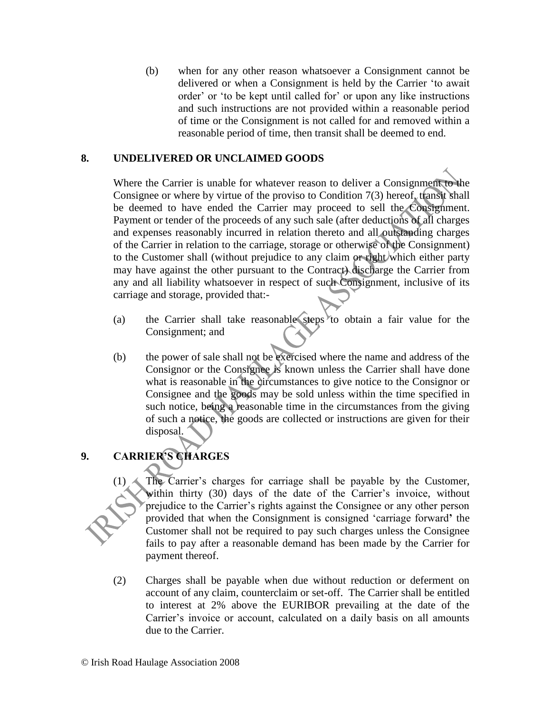(b) when for any other reason whatsoever a Consignment cannot be delivered or when a Consignment is held by the Carrier 'to await order' or 'to be kept until called for' or upon any like instructions and such instructions are not provided within a reasonable period of time or the Consignment is not called for and removed within a reasonable period of time, then transit shall be deemed to end.

#### **8. UNDELIVERED OR UNCLAIMED GOODS**

Where the Carrier is unable for whatever reason to deliver a Consignment to the Consignee or where by virtue of the proviso to Condition 7(3) hereof, transit shall be deemed to have ended the Carrier may proceed to sell the Consignment. Payment or tender of the proceeds of any such sale (after deductions of all charges and expenses reasonably incurred in relation thereto and all outstanding charges of the Carrier in relation to the carriage, storage or otherwise of the Consignment) to the Customer shall (without prejudice to any claim or right which either party may have against the other pursuant to the Contract) discharge the Carrier from any and all liability whatsoever in respect of such Consignment, inclusive of its carriage and storage, provided that:-

- (a) the Carrier shall take reasonable steps to obtain a fair value for the Consignment; and
- (b) the power of sale shall not be exercised where the name and address of the Consignor or the Consignee is known unless the Carrier shall have done what is reasonable in the dircumstances to give notice to the Consignor or Consignee and the goods may be sold unless within the time specified in such notice, being a reasonable time in the circumstances from the giving of such a notice, the goods are collected or instructions are given for their disposal.

## **9. CARRIER'S CHARGES**

 $(1)$  The Carrier's charges for carriage shall be payable by the Customer, within thirty (30) days of the date of the Carrier's invoice, without prejudice to the Carrier's rights against the Consignee or any other person provided that when the Consignment is consigned 'carriage forward**'** the Customer shall not be required to pay such charges unless the Consignee fails to pay after a reasonable demand has been made by the Carrier for payment thereof.

(2) Charges shall be payable when due without reduction or deferment on account of any claim, counterclaim or set-off. The Carrier shall be entitled to interest at 2% above the EURIBOR prevailing at the date of the Carrier's invoice or account, calculated on a daily basis on all amounts due to the Carrier.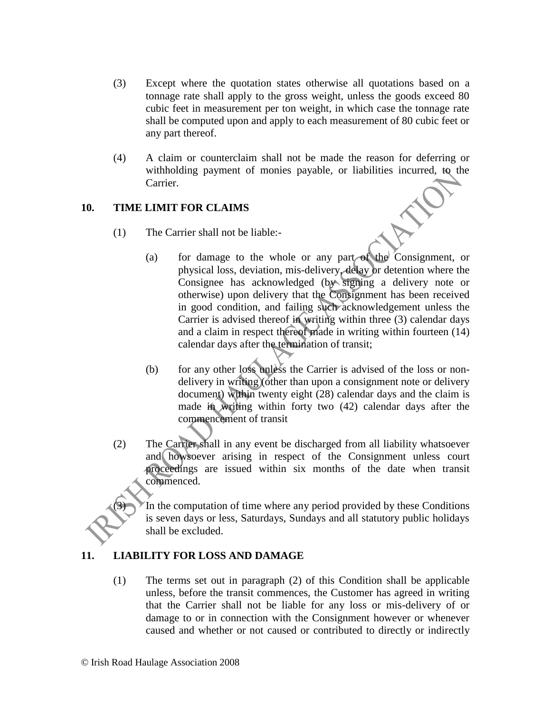- (3) Except where the quotation states otherwise all quotations based on a tonnage rate shall apply to the gross weight, unless the goods exceed 80 cubic feet in measurement per ton weight, in which case the tonnage rate shall be computed upon and apply to each measurement of 80 cubic feet or any part thereof.
- (4) A claim or counterclaim shall not be made the reason for deferring or withholding payment of monies payable, or liabilities incurred, to the Carrier.

## **10. TIME LIMIT FOR CLAIMS**

- (1) The Carrier shall not be liable:-
	- (a) for damage to the whole or any part of the Consignment, or physical loss, deviation, mis-delivery, delay or detention where the Consignee has acknowledged (by signing a delivery note or otherwise) upon delivery that the Consignment has been received in good condition, and failing such acknowledgement unless the Carrier is advised thereof in writing within three (3) calendar days and a claim in respect thereof made in writing within fourteen (14) calendar days after the termination of transit;
	- (b) for any other loss unless the Carrier is advised of the loss or nondelivery in writing (other than upon a consignment note or delivery document) within twenty eight (28) calendar days and the claim is made in writing within forty two (42) calendar days after the commencement of transit
- (2) The Carrier shall in any event be discharged from all liability whatsoever and howsoever arising in respect of the Consignment unless court proceedings are issued within six months of the date when transit commenced.

In the computation of time where any period provided by these Conditions is seven days or less, Saturdays, Sundays and all statutory public holidays shall be excluded.

## **11. LIABILITY FOR LOSS AND DAMAGE**

(1) The terms set out in paragraph (2) of this Condition shall be applicable unless, before the transit commences, the Customer has agreed in writing that the Carrier shall not be liable for any loss or mis-delivery of or damage to or in connection with the Consignment however or whenever caused and whether or not caused or contributed to directly or indirectly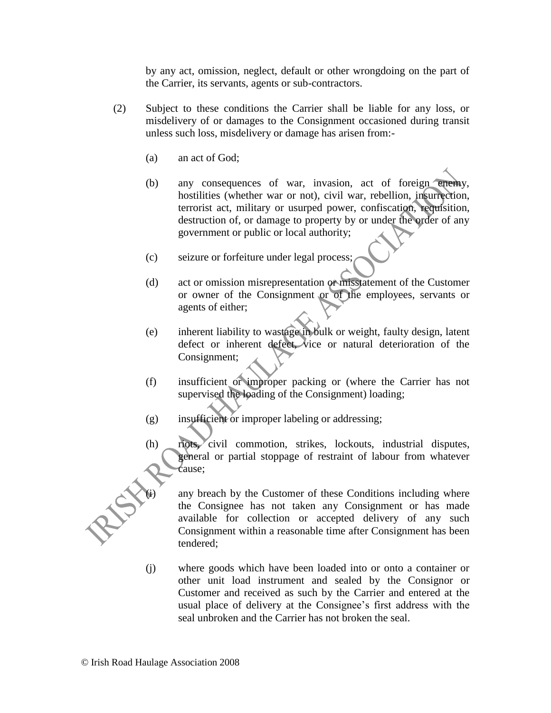by any act, omission, neglect, default or other wrongdoing on the part of the Carrier, its servants, agents or sub-contractors.

- (2) Subject to these conditions the Carrier shall be liable for any loss, or misdelivery of or damages to the Consignment occasioned during transit unless such loss, misdelivery or damage has arisen from:-
	- (a) an act of God;
	- (b) any consequences of war, invasion, act of foreign enemy, hostilities (whether war or not), civil war, rebellion, insurrection, terrorist act, military or usurped power, confiscation, requisition, destruction of, or damage to property by or under the order of any government or public or local authority;
	- (c) seizure or forfeiture under legal process;
	- (d) act or omission misrepresentation or misstatement of the Customer or owner of the Consignment or of the employees, servants or agents of either;
	- (e) inherent liability to wastage in bulk or weight, faulty design, latent defect or inherent defect, vice or natural deterioration of the Consignment;
	- (f) insufficient or improper packing or (where the Carrier has not supervised the loading of the Consignment) loading;
	- (g) insufficient or improper labeling or addressing;
	- (h) riots, civil commotion, strikes, lockouts, industrial disputes, general or partial stoppage of restraint of labour from whatever cause;



any breach by the Customer of these Conditions including where the Consignee has not taken any Consignment or has made available for collection or accepted delivery of any such Consignment within a reasonable time after Consignment has been tendered;

(j) where goods which have been loaded into or onto a container or other unit load instrument and sealed by the Consignor or Customer and received as such by the Carrier and entered at the usual place of delivery at the Consignee's first address with the seal unbroken and the Carrier has not broken the seal.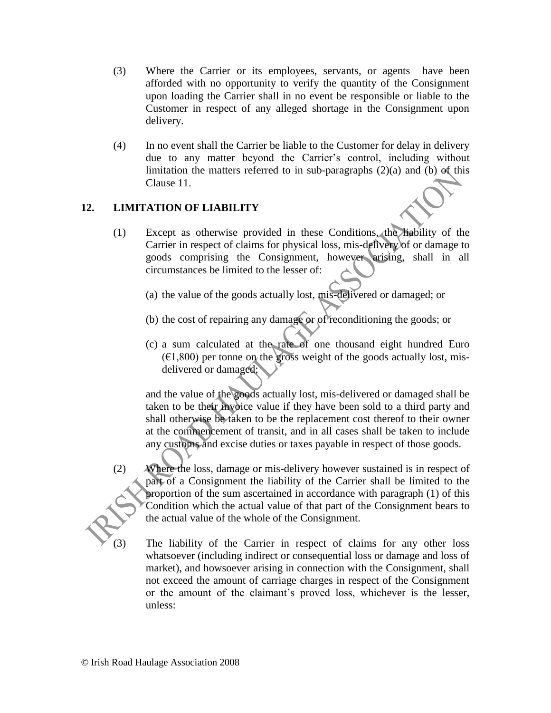- (3) Where the Carrier or its employees, servants, or agents have been afforded with no opportunity to verify the quantity of the Consignment upon loading the Carrier shall in no event be responsible or liable to the Customer in respect of any alleged shortage in the Consignment upon delivery.
- (4) In no event shall the Carrier be liable to the Customer for delay in delivery due to any matter beyond the Carrier's control, including without limitation the matters referred to in sub-paragraphs  $(2)(a)$  and  $(b)$  of this Clause 11.

## **12. LIMITATION OF LIABILITY**

- (1) Except as otherwise provided in these Conditions, the liability of the Carrier in respect of claims for physical loss, mis-delivery of or damage to goods comprising the Consignment, however arising, shall in all circumstances be limited to the lesser of:
	- (a) the value of the goods actually lost, mis-delivered or damaged; or
	- (b) the cost of repairing any damage or of reconditioning the goods; or
	- (c) a sum calculated at the rate of one thousand eight hundred Euro  $(61,800)$  per tonne on the gross weight of the goods actually lost, misdelivered or damaged;

and the value of the goods actually lost, mis-delivered or damaged shall be taken to be their invoice value if they have been sold to a third party and shall otherwise be taken to be the replacement cost thereof to their owner at the commencement of transit, and in all cases shall be taken to include any customs and excise duties or taxes payable in respect of those goods.

- (2) Where the loss, damage or mis-delivery however sustained is in respect of part of a Consignment the liability of the Carrier shall be limited to the proportion of the sum ascertained in accordance with paragraph (1) of this Condition which the actual value of that part of the Consignment bears to the actual value of the whole of the Consignment.
	- The liability of the Carrier in respect of claims for any other loss whatsoever (including indirect or consequential loss or damage and loss of market), and howsoever arising in connection with the Consignment, shall not exceed the amount of carriage charges in respect of the Consignment or the amount of the claimant's proved loss, whichever is the lesser, unless: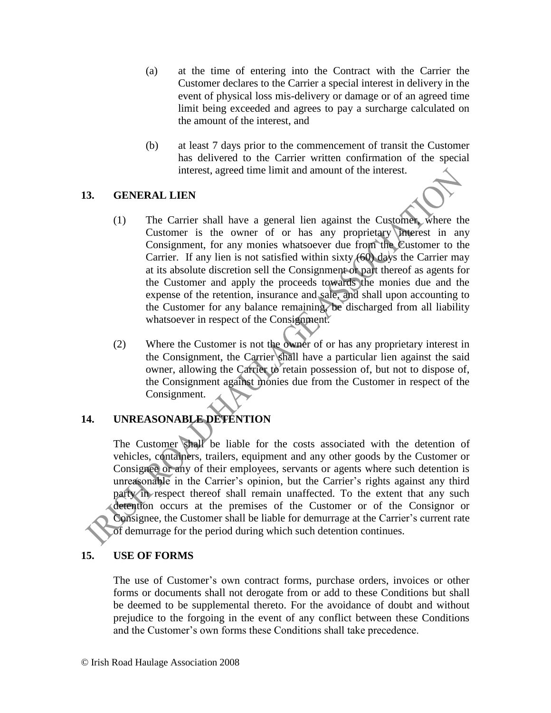- (a) at the time of entering into the Contract with the Carrier the Customer declares to the Carrier a special interest in delivery in the event of physical loss mis-delivery or damage or of an agreed time limit being exceeded and agrees to pay a surcharge calculated on the amount of the interest, and
- (b) at least 7 days prior to the commencement of transit the Customer has delivered to the Carrier written confirmation of the special interest, agreed time limit and amount of the interest.

#### **13. GENERAL LIEN**

- (1) The Carrier shall have a general lien against the Customer, where the Customer is the owner of or has any proprietary interest in any Consignment, for any monies whatsoever due from the Customer to the Carrier. If any lien is not satisfied within sixty (60) days the Carrier may at its absolute discretion sell the Consignment or part thereof as agents for the Customer and apply the proceeds towards the monies due and the expense of the retention, insurance and sale, and shall upon accounting to the Customer for any balance remaining, be discharged from all liability whatsoever in respect of the Consignment.
- (2) Where the Customer is not the owner of or has any proprietary interest in the Consignment, the Carrier shall have a particular lien against the said owner, allowing the Carrier to retain possession of, but not to dispose of, the Consignment against monies due from the Customer in respect of the Consignment.

## **14. UNREASONABLE DETENTION**

The Customer shall be liable for the costs associated with the detention of vehicles, containers, trailers, equipment and any other goods by the Customer or Consignee or any of their employees, servants or agents where such detention is unreasonable in the Carrier's opinion, but the Carrier's rights against any third party in respect thereof shall remain unaffected. To the extent that any such detention occurs at the premises of the Customer or of the Consignor or Consignee, the Customer shall be liable for demurrage at the Carrier's current rate of demurrage for the period during which such detention continues.

#### **15. USE OF FORMS**

The use of Customer's own contract forms, purchase orders, invoices or other forms or documents shall not derogate from or add to these Conditions but shall be deemed to be supplemental thereto. For the avoidance of doubt and without prejudice to the forgoing in the event of any conflict between these Conditions and the Customer's own forms these Conditions shall take precedence.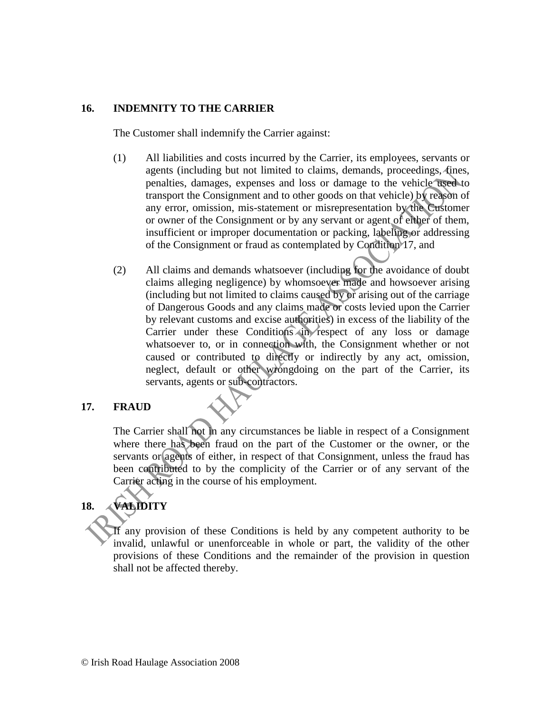#### **16. INDEMNITY TO THE CARRIER**

The Customer shall indemnify the Carrier against:

- (1) All liabilities and costs incurred by the Carrier, its employees, servants or agents (including but not limited to claims, demands, proceedings, fines, penalties, damages, expenses and loss or damage to the vehicle used to transport the Consignment and to other goods on that vehicle) by reason of any error, omission, mis-statement or misrepresentation by the Customer or owner of the Consignment or by any servant or agent of either of them, insufficient or improper documentation or packing, labeling or addressing of the Consignment or fraud as contemplated by Condition 17, and
- (2) All claims and demands whatsoever (including for the avoidance of doubt claims alleging negligence) by whomsoever made and howsoever arising (including but not limited to claims caused by or arising out of the carriage of Dangerous Goods and any claims made or costs levied upon the Carrier by relevant customs and excise authorities) in excess of the liability of the Carrier under these Conditions in respect of any loss or damage whatsoever to, or in connection with, the Consignment whether or not caused or contributed to directly or indirectly by any act, omission, neglect, default or other wrongdoing on the part of the Carrier, its servants, agents or sub-contractors.

#### **17. FRAUD**

The Carrier shall not in any circumstances be liable in respect of a Consignment where there has been fraud on the part of the Customer or the owner, or the servants or agents of either, in respect of that Consignment, unless the fraud has been contributed to by the complicity of the Carrier or of any servant of the Carrier acting in the course of his employment.

# **18. VALIDITY**

If any provision of these Conditions is held by any competent authority to be invalid, unlawful or unenforceable in whole or part, the validity of the other provisions of these Conditions and the remainder of the provision in question shall not be affected thereby.